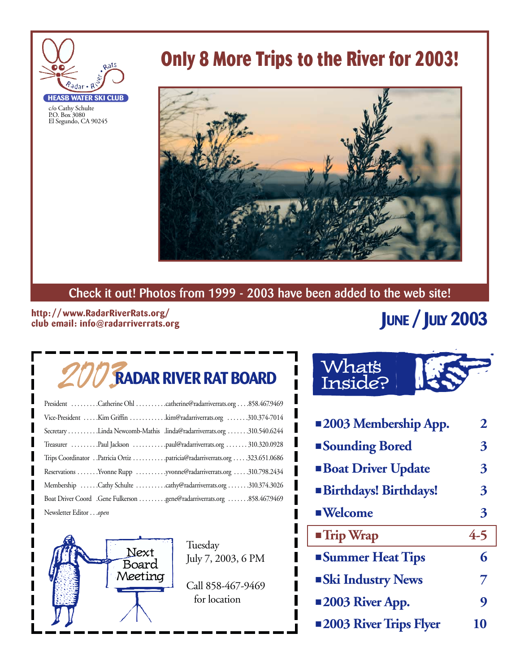# **HEASB WATER SKI CLUB**

c/o Cathy Schulte P.O. Box 3080 El Segundo, CA 90245 **Only 8 More Trips to the River for 2003!**



#### **Check it out! Photos from 1999 - 2003 have been added to the web site!**

#### **http: //www.RadarRiverRats.org/ club email: info@radarriverrats.org**

## **JUNE / JULY 2003**

## 2003**RADAR RIVER RAT BOARD**

| President Catherine Ohl catherine@radarriverrats.org858.467.9469          |
|---------------------------------------------------------------------------|
| Vice-President  Kim Griffin  kim @radarriverrats.org 310.374-7014         |
| Secretary Linda Newcomb-Mathis .linda@radarriverrats.org 310.540.6244     |
|                                                                           |
| Trips Coordinator Patricia Ortiz patricia@radarriverrats.org 323.651.0686 |
| Reservations Yvonne Rupp yvonne@radarriverrats.org 310.798.2434           |
|                                                                           |
| Boat Driver Coord .Gene Fulkerson gene@radarriverrats.org 858.467.9469    |
| Newsletter Editoropen                                                     |



**Tuesday** July 7, 2003, 6 PM

Call 858-467-9469 for location

## What's Inside?

| <b>2003 Membership App.</b>  | $\overline{2}$ |
|------------------------------|----------------|
| <b>Sounding Bored</b>        | 3              |
| <b>Boat Driver Update</b>    | 3              |
| <b>Birthdays! Birthdays!</b> | 3              |
| ■ Welcome                    | 3              |
|                              |                |
| ■ Trip Wrap                  | 4-5            |
| <b>Summer Heat Tips</b>      | 6              |
| <b>Ski Industry News</b>     | 7              |
| ■2003 River App.             | 9              |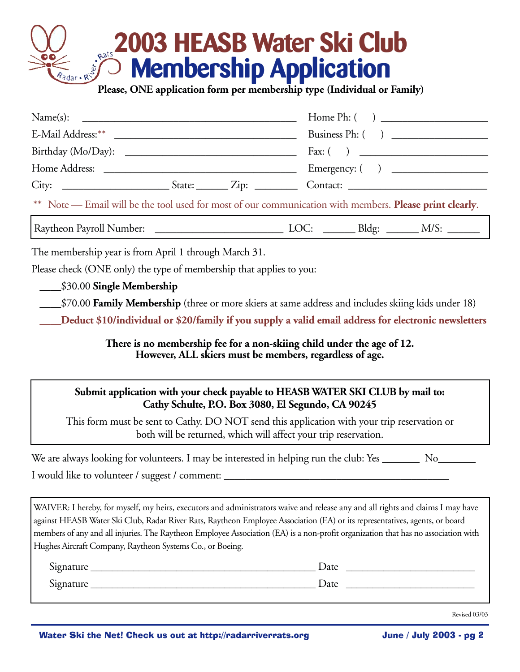## **2003 HEASB Water Ski Club Membership Application**

**Please, ONE application form per membership type (Individual or Family)**

| Name(s):                                                            |                                                                                                                                                                |
|---------------------------------------------------------------------|----------------------------------------------------------------------------------------------------------------------------------------------------------------|
|                                                                     |                                                                                                                                                                |
|                                                                     | Fax: $( )$                                                                                                                                                     |
|                                                                     | Emergency: ( ) ________________                                                                                                                                |
|                                                                     |                                                                                                                                                                |
|                                                                     | ** Note — Email will be the tool used for most of our communication with members. Please print clearly.                                                        |
|                                                                     |                                                                                                                                                                |
| The membership year is from April 1 through March 31.               |                                                                                                                                                                |
| Please check (ONE only) the type of membership that applies to you: |                                                                                                                                                                |
| \$30.00 Single Membership                                           |                                                                                                                                                                |
|                                                                     | \$70.00 <b>Family Membership</b> (three or more skiers at same address and includes skiing kids under 18)                                                      |
|                                                                     |                                                                                                                                                                |
|                                                                     | Deduct \$10/individual or \$20/family if you supply a valid email address for electronic newsletters                                                           |
|                                                                     | There is no membership fee for a non-skiing child under the age of 12.<br>However, ALL skiers must be members, regardless of age.                              |
|                                                                     | Submit application with your check payable to HEASB WATER SKI CLUB by mail to:<br>Cathy Schulte, P.O. Box 3080, El Segundo, CA 90245                           |
|                                                                     | This form must be sent to Cathy. DO NOT send this application with your trip reservation or<br>both will be returned, which will affect your trip reservation. |
|                                                                     | We are always looking for volunteers. I may be interested in helping run the club: Yes ________ No________                                                     |
|                                                                     | I would like to volunteer / suggest / comment: _________________________________                                                                               |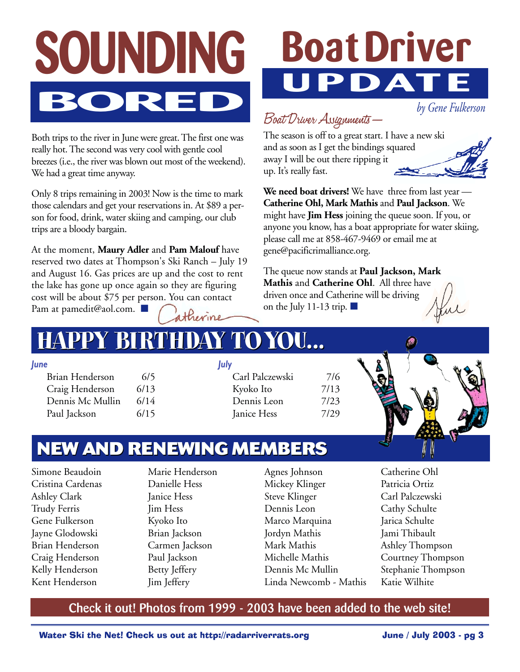

Both trips to the river in June were great. The first one was really hot. The second was very cool with gentle cool breezes (i.e., the river was blown out most of the weekend). We had a great time anyway.

Only 8 trips remaining in 2003! Now is the time to mark those calendars and get your reservations in. At \$89 a person for food, drink, water skiing and camping, our club trips are a bloody bargain.

At the moment, **Maury Adler** and **Pam Malouf** have reserved two dates at Thompson's Ski Ranch – July 19 and August 16. Gas prices are up and the cost to rent the lake has gone up once again so they are figuring cost will be about \$75 per person. You can contact Pam at pamedit@aol.com. ■

## **Boat Driver UPDATE**

*by Gene Fulkerson*

#### Boat Driver Assignments—

The season is off to a great start. I have a new ski and as soon as I get the bindings squared away I will be out there ripping it up. It's really fast.

**We need boat drivers!** We have three from last year — **Catherine Ohl, Mark Mathis** and **Paul Jackson**. We might have **Jim Hess** joining the queue soon. If you, or anyone you know, has a boat appropriate for water skiing, please call me at 858-467-9469 or email me at gene@pacificrimalliance.org.

The queue now stands at **Paul Jackson, Mark Mathis** and **Catherine Ohl**. All three have driven once and Catherine will be driving on the July 11-13 trip.  $\blacksquare$ 

## **HAPPY BIRTHDAY TOYOU... HAPPY BIRTHDAY TOYOU...**

*July*

#### *June*

Brian Henderson 6/5 Craig Henderson 6/13 Dennis Mc Mullin 6/14 Paul Jackson 6/15

Carl Palczewski 7/6 Kyoko Ito 7/13 Dennis Leon 7/23 Janice Hess 7/29



## **NEW AND RENEWING MEMBERS NEW AND RENEWING MEMBERS**

Simone Beaudoin Cristina Cardenas Ashley Clark Trudy Ferris Gene Fulkerson Jayne Glodowski Brian Henderson Craig Henderson Kelly Henderson Kent Henderson

Marie Henderson Danielle Hess Janice Hess Jim Hess Kyoko Ito Brian Jackson Carmen Jackson Paul Jackson Betty Jeffery Jim Jeffery

Agnes Johnson Mickey Klinger Steve Klinger Dennis Leon Marco Marquina Jordyn Mathis Mark Mathis Michelle Mathis Dennis Mc Mullin Linda Newcomb - Mathis

Catherine Ohl Patricia Ortiz Carl Palczewski Cathy Schulte Jarica Schulte Jami Thibault Ashley Thompson Courtney Thompson Stephanie Thompson Katie Wilhite

**Check it out! Photos from 1999 - 2003 have been added to the web site!**

Water Ski the Net! Check us out at http://radarriverrats.org **June / July 2003** - pg 3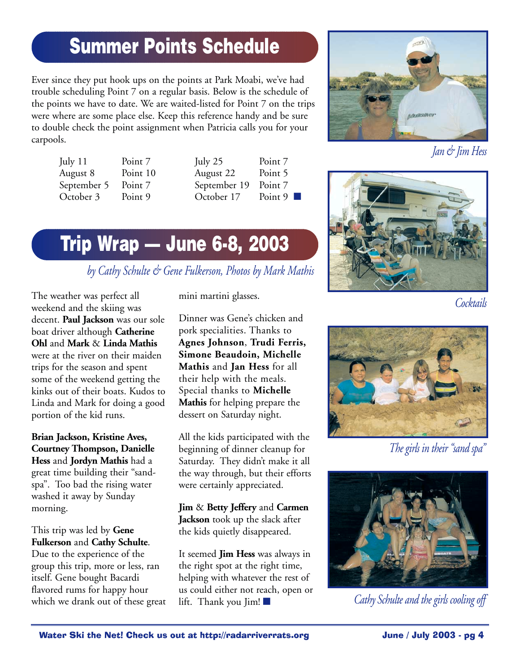## **Summer Points Schedule**

Ever since they put hook ups on the points at Park Moabi, we've had trouble scheduling Point 7 on a regular basis. Below is the schedule of the points we have to date. We are waited-listed for Point 7 on the trips were where are some place else. Keep this reference handy and be sure to double check the point assignment when Patricia calls you for your carpools.

August 8 Point 10 August 22 Point 5 September 5 Point 7 September 19 Point 7 October 3 Point 9 → October 17 Point 9

July 11 Point 7 July 25 Point 7



*Jan & Jim Hess*



## **Trip Wrap — June 6-8, 2003**

#### *by Cathy Schulte & Gene Fulkerson, Photos by Mark Mathis*

The weather was perfect all weekend and the skiing was decent. **Paul Jackson** was our sole boat driver although **Catherine Ohl** and **Mark** & **Linda Mathis** were at the river on their maiden trips for the season and spent some of the weekend getting the kinks out of their boats. Kudos to Linda and Mark for doing a good portion of the kid runs.

**Brian Jackson, Kristine Aves, Courtney Thompson, Danielle Hess** and **Jordyn Mathis** had a great time building their "sandspa". Too bad the rising water washed it away by Sunday morning.

This trip was led by **Gene Fulkerson** and **Cathy Schulte**. Due to the experience of the group this trip, more or less, ran itself. Gene bought Bacardi flavored rums for happy hour which we drank out of these great mini martini glasses.

Dinner was Gene's chicken and pork specialities. Thanks to **Agnes Johnson**, **Trudi Ferris, Simone Beaudoin, Michelle Mathis** and **Jan Hess** for all their help with the meals. Special thanks to **Michelle Mathis** for helping prepare the dessert on Saturday night.

All the kids participated with the beginning of dinner cleanup for Saturday. They didn't make it all the way through, but their efforts were certainly appreciated.

**Jim** & **Betty Jeffery** and **Carmen Jackson** took up the slack after the kids quietly disappeared.

It seemed **Jim Hess** was always in the right spot at the right time, helping with whatever the rest of us could either not reach, open or lift. Thank you Jim! ■

*Cocktails*



*The girls in their "sand spa"*



*Cathy Schulte and the girls cooling off*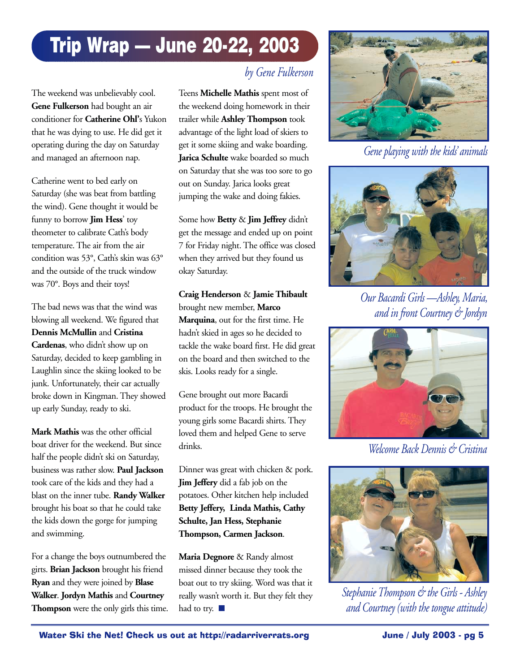## **Trip Wrap — June 20-22, 2003**

The weekend was unbelievably cool. **Gene Fulkerson** had bought an air conditioner for **Catherine Ohl'**s Yukon that he was dying to use. He did get it operating during the day on Saturday and managed an afternoon nap.

Catherine went to bed early on Saturday (she was beat from battling the wind). Gene thought it would be funny to borrow **Jim Hess**' toy theometer to calibrate Cath's body temperature. The air from the air condition was 53°, Cath's skin was 63° and the outside of the truck window was 70°. Boys and their toys!

The bad news was that the wind was blowing all weekend. We figured that **Dennis McMullin** and **Cristina Cardenas**, who didn't show up on Saturday, decided to keep gambling in Laughlin since the skiing looked to be junk. Unfortunately, their car actually broke down in Kingman. They showed up early Sunday, ready to ski.

**Mark Mathis** was the other official boat driver for the weekend. But since half the people didn't ski on Saturday, business was rather slow. **Paul Jackson** took care of the kids and they had a blast on the inner tube. **Randy Walker** brought his boat so that he could take the kids down the gorge for jumping and swimming.

For a change the boys outnumbered the girts. **Brian Jackson** brought his friend **Ryan** and they were joined by **Blase Walker**. **Jordyn Mathis** and **Courtney Thompson** were the only girls this time.

#### *by Gene Fulkerson*

Teens **Michelle Mathis** spent most of the weekend doing homework in their trailer while **Ashley Thompson** took advantage of the light load of skiers to get it some skiing and wake boarding. **Jarica Schulte** wake boarded so much on Saturday that she was too sore to go out on Sunday. Jarica looks great jumping the wake and doing fakies.

Some how **Betty** & **Jim Jeffrey** didn't get the message and ended up on point 7 for Friday night. The office was closed when they arrived but they found us okay Saturday.

**Craig Henderson** & **Jamie Thibault** brought new member, **Marco Marquina**, out for the first time. He hadn't skied in ages so he decided to tackle the wake board first. He did great on the board and then switched to the skis. Looks ready for a single.

Gene brought out more Bacardi product for the troops. He brought the young girls some Bacardi shirts. They loved them and helped Gene to serve drinks.

Dinner was great with chicken & pork. **Jim Jeffery** did a fab job on the potatoes. Other kitchen help included **Betty Jeffery, Linda Mathis, Cathy Schulte, Jan Hess, Stephanie Thompson, Carmen Jackson**.

**Maria Degnore** & Randy almost missed dinner because they took the boat out to try skiing. Word was that it really wasn't worth it. But they felt they had to try. ■



*Gene playing with the kids' animals*



*Our Bacardi Girls —Ashley, Maria, and in front Courtney & Jordyn*



*Welcome Back Dennis & Cristina*



*Stephanie Thompson & the Girls - Ashley and Courtney (with the tongue attitude)*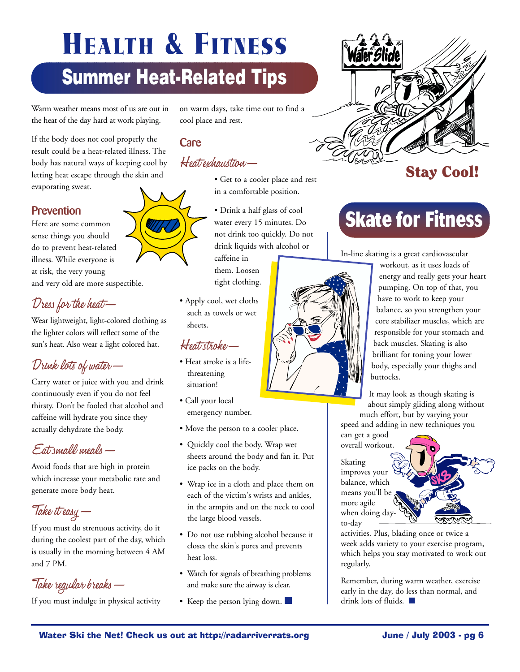## **HEALTH & FITNESS**

## **Summer Heat-Related Tips**

Warm weather means most of us are out in the heat of the day hard at work playing.

If the body does not cool properly the result could be a heat-related illness. The body has natural ways of keeping cool by letting heat escape through the skin and evaporating sweat.

#### **Prevention**

Here are some common sense things you should do to prevent heat-related illness. While everyone is at risk, the very young and very old are more suspectible.

#### Dress for the heat—

Wear lightweight, light-colored clothing as the lighter colors will reflect some of the sun's heat. Also wear a light colored hat.

#### Drink lots of water—

Carry water or juice with you and drink continuously even if you do not feel thirsty. Don't be fooled that alcohol and caffeine will hydrate you since they actually dehydrate the body.

#### Eat small meals—

Avoid foods that are high in protein which increase your metabolic rate and generate more body heat.

Take it easy—

If you must do strenuous activity, do it during the coolest part of the day, which is usually in the morning between 4 AM and 7 PM.

#### Take regular breaks—

If you must indulge in physical activity

on warm days, take time out to find a cool place and rest.

**Care**

#### Heat exhaustion—

• Get to a cooler place and rest in a comfortable position.

• Drink a half glass of cool water every 15 minutes. Do not drink too quickly. Do not drink liquids with alcohol or

caffeine in them. Loosen tight clothing.

• Apply cool, wet cloths such as towels or wet sheets.

#### $H$ entistroke $-$

- Heat stroke is a lifethreatening situation!
- Call your local emergency number.
- Move the person to a cooler place.
- Quickly cool the body. Wrap wet sheets around the body and fan it. Put ice packs on the body.
- Wrap ice in a cloth and place them on each of the victim's wrists and ankles, in the armpits and on the neck to cool the large blood vessels.
- Do not use rubbing alcohol because it closes the skin's pores and prevents heat loss.
- Watch for signals of breathing problems and make sure the airway is clear.
- Keep the person lying down.  $\blacksquare$



#### Stay Cool!

## **Skate for Fitness**

In-line skating is a great cardiovascular

workout, as it uses loads of energy and really gets your heart pumping. On top of that, you have to work to keep your balance, so you strengthen your core stabilizer muscles, which are responsible for your stomach and back muscles. Skating is also brilliant for toning your lower body, especially your thighs and buttocks.

It may look as though skating is about simply gliding along without much effort, but by varying your

speed and adding in new techniques you can get a good

Skating improves your balance, which means you'll be more agile when doing dayto-day



activities. Plus, blading once or twice a week adds variety to your exercise program, which helps you stay motivated to work out regularly.

Remember, during warm weather, exercise early in the day, do less than normal, and drink lots of fluids. ■

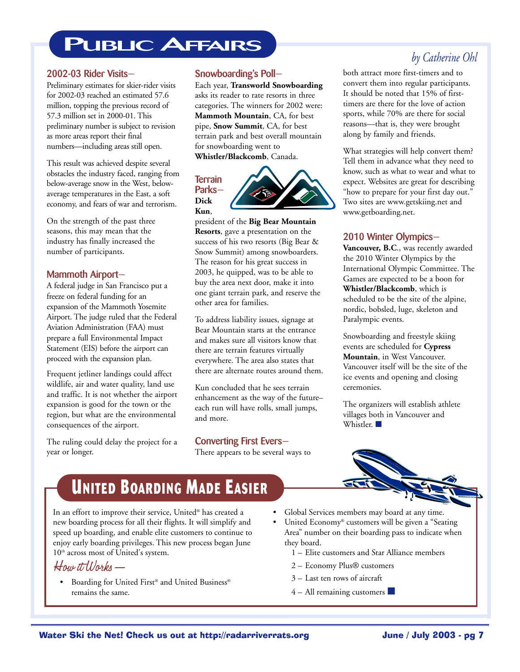### **PUBLIC AFFAIRS**

#### **2002-03 Rider Visits—**

Preliminary estimates for skier-rider visits for 2002-03 reached an estimated 57.6 million, topping the previous record of 57.3 million set in 2000-01. This preliminary number is subject to revision as more areas report their final numbers—including areas still open.

This result was achieved despite several obstacles the industry faced, ranging from below-average snow in the West, belowaverage temperatures in the East, a soft economy, and fears of war and terrorism.

On the strength of the past three seasons, this may mean that the industry has finally increased the number of participants.

#### **Mammoth Airport—**

A federal judge in San Francisco put a freeze on federal funding for an expansion of the Mammoth Yosemite Airport. The judge ruled that the Federal Aviation Administration (FAA) must prepare a full Environmental Impact Statement (EIS) before the airport can proceed with the expansion plan.

Frequent jetliner landings could affect wildlife, air and water quality, land use and traffic. It is not whether the airport expansion is good for the town or the region, but what are the environmental consequences of the airport.

The ruling could delay the project for a year or longer.

#### **Snowboarding's Poll—**

Each year, **Transworld Snowboarding** asks its reader to rate resorts in three categories. The winners for 2002 were: **Mammoth Mountain**, CA, for best pipe, **Snow Summit**, CA, for best terrain park and best overall mountain for snowboarding went to **Whistler/Blackcomb**, Canada.

#### **Terrain Parks— Dick Kun**,



president of the **Big Bear Mountain Resorts**, gave a presentation on the success of his two resorts (Big Bear & Snow Summit) among snowboarders. The reason for his great success in 2003, he quipped, was to be able to buy the area next door, make it into one giant terrain park, and reserve the other area for families.

To address liability issues, signage at Bear Mountain starts at the entrance and makes sure all visitors know that there are terrain features virtually everywhere. The area also states that there are alternate routes around them.

Kun concluded that he sees terrain enhancement as the way of the future– each run will have rolls, small jumps, and more.

**Converting First Evers—** There appears to be several ways to

#### *by Catherine Ohl*

both attract more first-timers and to convert them into regular participants. It should be noted that 15% of firsttimers are there for the love of action sports, while 70% are there for social reasons—that is, they were brought along by family and friends.

What strategies will help convert them? Tell them in advance what they need to know, such as what to wear and what to expect. Websites are great for describing "how to prepare for your first day out." Two sites are www.getskiing.net and www.getboarding.net.

#### **2010 Winter Olympics—**

**Vancouver, B.C**., was recently awarded the 2010 Winter Olympics by the International Olympic Committee. The Games are expected to be a boon for **Whistler/Blackcomb**, which is scheduled to be the site of the alpine, nordic, bobsled, luge, skeleton and Paralympic events.

Snowboarding and freestyle skiing events are scheduled for **Cypress Mountain**, in West Vancouver. Vancouver itself will be the site of the ice events and opening and closing ceremonies.

The organizers will establish athlete villages both in Vancouver and Whistler<sup>1</sup>

## **UNITED BOARDING MADE EASIER**

In an effort to improve their service, United® has created a new boarding process for all their flights. It will simplify and speed up boarding, and enable elite customers to continue to enjoy early boarding privileges. This new process began June 10<sup>th</sup> across most of United's system.

#### How it Works—

• Boarding for United First® and United Business® remains the same.

- Global Services members may board at any time.
- United Economy® customers will be given a "Seating Area" number on their boarding pass to indicate when they board.
	- 1 Elite customers and Star Alliance members
	- 2 Economy Plus® customers
	- 3 Last ten rows of aircraft
	- $4 -$  All remaining customers  $\Box$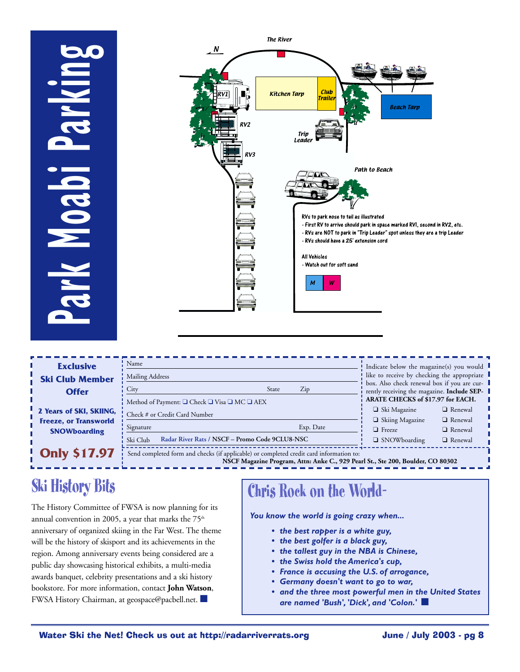

| <b>Exclusive</b>             | Name                                                                                                                                                                       | Indicate below the magazine(s) you would                                                   |  |
|------------------------------|----------------------------------------------------------------------------------------------------------------------------------------------------------------------------|--------------------------------------------------------------------------------------------|--|
| <b>Ski Club Member</b>       | Mailing Address                                                                                                                                                            | like to receive by checking the appropriate                                                |  |
| <b>Offer</b>                 | City<br>$\mathop{\mathrm{Zip}}$<br><b>State</b>                                                                                                                            | box. Also check renewal box if you are cur-<br>rently receiving the magazine. Include SEP- |  |
|                              | Method of Payment: □ Check □ Visa □ MC □ AEX                                                                                                                               | ARATE CHECKS of \$17.97 for EACH.                                                          |  |
| 2 Years of SKI, SKIING,      | Check # or Credit Card Number                                                                                                                                              | $\Box$ Renewal<br>$\Box$ Ski Magazine                                                      |  |
| <b>Freeze, or Transworld</b> |                                                                                                                                                                            | $\Box$ Skiing Magazine<br>$\Box$ Renewal                                                   |  |
| <b>SNOWboarding</b>          | Signature<br>Exp. Date                                                                                                                                                     | $\Box$ Renewal<br>$\Box$ Freeze                                                            |  |
|                              | Radar River Rats / NSCF - Promo Code 9CLU8-NSC<br>Ski Club                                                                                                                 | SNOWboarding<br>$\Box$ Renewal                                                             |  |
| $\frac{1}{2}$ Only \$17.97   | Send completed form and checks (if applicable) or completed credit card information to:<br>NSCF Magazine Program, Attn: Anke C., 929 Pearl St., Ste 200, Boulder, CO 80302 |                                                                                            |  |

### **Ski History Bits**

The History Committee of FWSA is now planning for its annual convention in 2005, a year that marks the  $75<sup>th</sup>$ anniversary of organized skiing in the Far West. The theme will be the history of skisport and its achievements in the region. Among anniversary events being considered are a public day showcasing historical exhibits, a multi-media awards banquet, celebrity presentations and a ski history bookstore. For more information, contact **John Watson**, FWSA History Chairman, at geospace@pacbell.net. ■

## **Chris Rock on the World–**

*You know the world is going crazy when...*

- *the best rapper is a white guy,*
- *the best golfer is a black guy,*
- *the tallest guy in the NBA is Chinese,*
- *the Swiss hold the America's cup,*
- *France is accusing the U.S. of arrogance,*
- *Germany doesn't want to go to war,*
- *and the three most powerful men in the United States are named 'Bush', 'Dick', and 'Colon.'* ■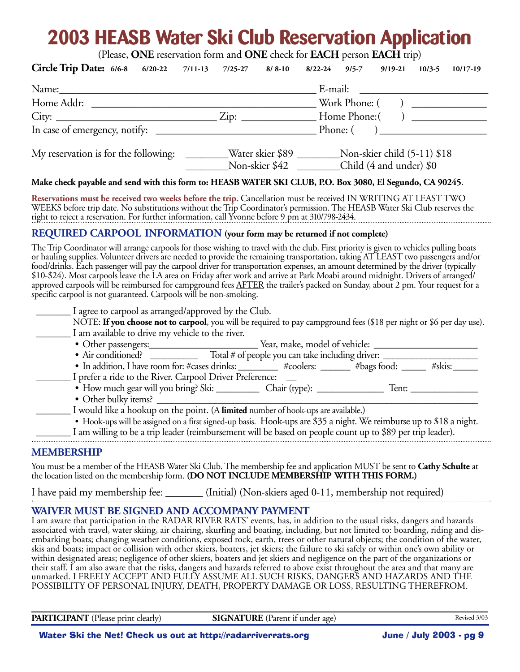## **2003 HEASB Water Ski Club Reservation Application**

(Please, **ONE** reservation form and **ONE** check for **EACH** person **EACH** trip)

| Circle Trip Date: 6/6-8 6/20-22 7/11-13 7/25-27 8/8-10                                                                                                                                                             | $8/22 - 24$ $9/5 - 7$<br>$9/19-21$ $10/3-5$ $10/17-19$                                                                                                                                                                                                                                                                                                                                                                                                                                                                                                                                                                                                                                |
|--------------------------------------------------------------------------------------------------------------------------------------------------------------------------------------------------------------------|---------------------------------------------------------------------------------------------------------------------------------------------------------------------------------------------------------------------------------------------------------------------------------------------------------------------------------------------------------------------------------------------------------------------------------------------------------------------------------------------------------------------------------------------------------------------------------------------------------------------------------------------------------------------------------------|
|                                                                                                                                                                                                                    | E-mail:                                                                                                                                                                                                                                                                                                                                                                                                                                                                                                                                                                                                                                                                               |
|                                                                                                                                                                                                                    |                                                                                                                                                                                                                                                                                                                                                                                                                                                                                                                                                                                                                                                                                       |
|                                                                                                                                                                                                                    |                                                                                                                                                                                                                                                                                                                                                                                                                                                                                                                                                                                                                                                                                       |
|                                                                                                                                                                                                                    |                                                                                                                                                                                                                                                                                                                                                                                                                                                                                                                                                                                                                                                                                       |
| My reservation is for the following: ________Water skier \$89 ________Non-skier child (5-11) \$18                                                                                                                  | Non-skier \$42 Child (4 and under) \$0                                                                                                                                                                                                                                                                                                                                                                                                                                                                                                                                                                                                                                                |
| Make check payable and send with this form to: HEASB WATER SKI CLUB, P.O. Box 3080, El Segundo, CA 90245.                                                                                                          |                                                                                                                                                                                                                                                                                                                                                                                                                                                                                                                                                                                                                                                                                       |
| Reservations must be received two weeks before the trip. Cancellation must be received IN WRITING AT LEAST TWO<br>right to reject a reservation. For further information, call Yvonne before 9 pm at 310/798-2434. | WEEKS before trip date. No substitutions without the Trip Coordinator's permission. The HEASB Water Ski Club reserves the                                                                                                                                                                                                                                                                                                                                                                                                                                                                                                                                                             |
| REQUIRED CARPOOL INFORMATION (your form may be returned if not complete)                                                                                                                                           |                                                                                                                                                                                                                                                                                                                                                                                                                                                                                                                                                                                                                                                                                       |
| specific carpool is not guaranteed. Carpools will be non-smoking.                                                                                                                                                  | The Trip Coordinator will arrange carpools for those wishing to travel with the club. First priority is given to vehicles pulling boats<br>or hauling supplies. Volunteer drivers are needed to provide the remaining transportation, taking AT LEAST two passengers and/or<br>food/drinks. Each passenger will pay the carpool driver for transportation expenses, an amount determined by the driver (typically<br>\$10-\$24). Most carpools leave the LA area on Friday after work and arrive at Park Moabi around midnight. Drivers of arranged/<br>approved carpools will be reimbursed for campground fees AFTER the trailer's packed on Sunday, about 2 pm. Your request for a |
| I agree to carpool as arranged/approved by the Club.                                                                                                                                                               |                                                                                                                                                                                                                                                                                                                                                                                                                                                                                                                                                                                                                                                                                       |
|                                                                                                                                                                                                                    | NOTE: If you choose not to carpool, you will be required to pay campground fees (\$18 per night or \$6 per day use).                                                                                                                                                                                                                                                                                                                                                                                                                                                                                                                                                                  |
| I am available to drive my vehicle to the river.                                                                                                                                                                   |                                                                                                                                                                                                                                                                                                                                                                                                                                                                                                                                                                                                                                                                                       |
|                                                                                                                                                                                                                    |                                                                                                                                                                                                                                                                                                                                                                                                                                                                                                                                                                                                                                                                                       |
|                                                                                                                                                                                                                    |                                                                                                                                                                                                                                                                                                                                                                                                                                                                                                                                                                                                                                                                                       |
|                                                                                                                                                                                                                    |                                                                                                                                                                                                                                                                                                                                                                                                                                                                                                                                                                                                                                                                                       |
| I prefer a ride to the River. Carpool Driver Preference:                                                                                                                                                           |                                                                                                                                                                                                                                                                                                                                                                                                                                                                                                                                                                                                                                                                                       |
|                                                                                                                                                                                                                    |                                                                                                                                                                                                                                                                                                                                                                                                                                                                                                                                                                                                                                                                                       |
| I would like a hookup on the point. (A limited number of hook-ups are available.)                                                                                                                                  |                                                                                                                                                                                                                                                                                                                                                                                                                                                                                                                                                                                                                                                                                       |
|                                                                                                                                                                                                                    | $\overline{1}$ $\overline{1}$ $\overline{1}$ $\overline{1}$ $\overline{1}$ $\overline{1}$ $\overline{1}$ $\overline{1}$ $\overline{1}$ $\overline{1}$ $\overline{1}$ $\overline{1}$ $\overline{1}$ $\overline{1}$ $\overline{1}$ $\overline{1}$ $\overline{1}$ $\overline{1}$ $\overline{1}$ $\overline{1}$ $\overline{1}$ $\overline{1}$ $\overline{1}$ $\overline{1}$ $\overline{$                                                                                                                                                                                                                                                                                                  |

• Hook-ups will be assigned on a first signed-up basis. Hook-ups are \$35 a night. We reimburse up to \$18 a night.

I am willing to be a trip leader (reimbursement will be based on people count up to \$89 per trip leader).

#### **MEMBERSHIP**

You must be a member of the HEASB Water Ski Club. The membership fee and application MUST be sent to **Cathy Schulte** at the location listed on the membership form. **(DO NOT INCLUDE MEMBERSHIP WITH THIS FORM.)**

I have paid my membership fee: \_\_\_\_\_\_\_ (Initial) (Non-skiers aged 0-11, membership not required)

#### **WAIVER MUST BE SIGNED AND ACCOMPANY PAYMENT**

I am aware that participation in the RADAR RIVER RATS' events, has, in addition to the usual risks, dangers and hazards associated with travel, water skiing, air chairing, skurfing and boating, including, but not limited to: boarding, riding and disembarking boats; changing weather conditions, exposed rock, earth, trees or other natural objects; the condition of the water, skis and boats; impact or collision with other skiers, boaters, jet skiers; the failure to ski safely or within one's own ability or within designated areas; negligence of other skiers, boaters and jet skiers and negligence on the part of the organizations or their staff. I am also aware that the risks, dangers and hazards referred to above exist throughout the area and that many are unmarked. I FREELY ACCEPT AND FULLY ASSUME ALL SUCH RISKS, DANGERS AND HAZARDS AND THE POSSIBILITY OF PERSONAL INJURY, DEATH, PROPERTY DAMAGE OR LOSS, RESULTING THEREFROM.

**PARTICIPANT** (Please print clearly) **SIGNATURE** (Parent if under age) Revised 3/03